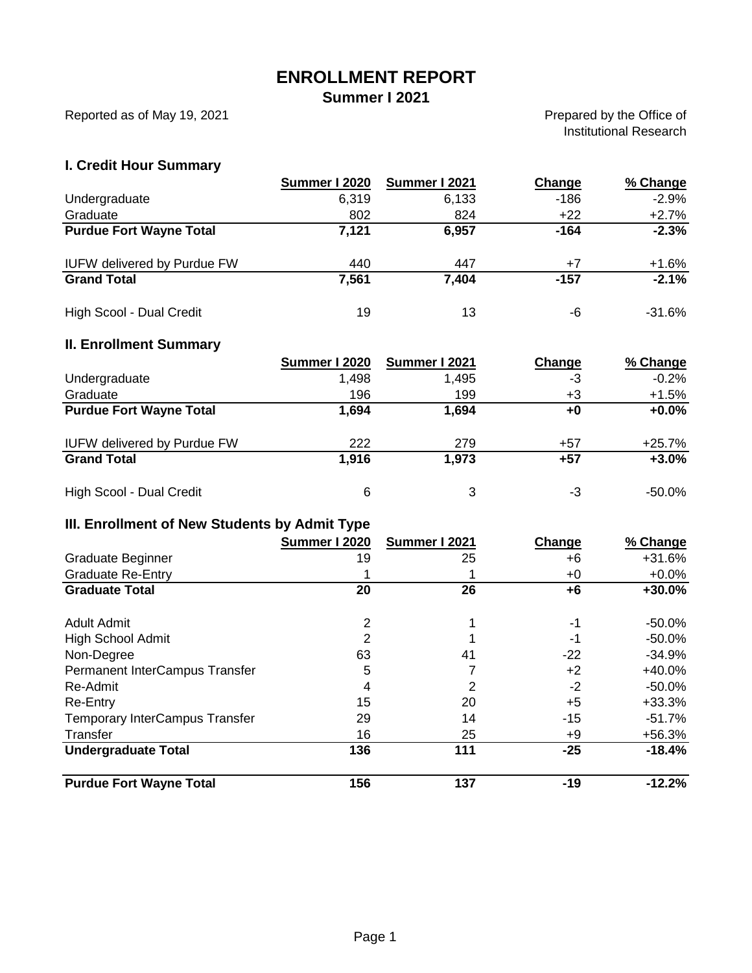## **ENROLLMENT REPORT**

**Summer I 2021**

Reported as of May 19, 2021

Prepared by the Office of Institutional Research

### **I. Credit Hour Summary**

|                                    | Summer I 2020 | Summer I 2021 | Change | % Change |
|------------------------------------|---------------|---------------|--------|----------|
| Undergraduate                      | 6.319         | 6,133         | $-186$ | $-2.9%$  |
| Graduate                           | 802           | 824           | $+22$  | $+2.7%$  |
| <b>Purdue Fort Wayne Total</b>     | 7,121         | 6,957         | -164   | $-2.3%$  |
| <b>IUFW delivered by Purdue FW</b> | 440           | 447           | $+7$   | $+1.6%$  |
| <b>Grand Total</b>                 | 7,561         | 7,404         | -157   | $-2.1%$  |
| High Scool - Dual Credit           | 19            | 13            | -6     | $-31.6%$ |

#### **II. Enrollment Summary**

|                                    | Summer I 2020 | Summer I 2021 | Change | % Change |
|------------------------------------|---------------|---------------|--------|----------|
| Undergraduate                      | 1,498         | 1,495         | -3     | $-0.2%$  |
| Graduate                           | 196           | 199           | +3     | $+1.5%$  |
| <b>Purdue Fort Wayne Total</b>     | 1,694         | 1,694         | +0     | $+0.0%$  |
| <b>IUFW delivered by Purdue FW</b> | 222           | 279           | +57    | $+25.7%$ |
| <b>Grand Total</b>                 | 1,916         | 1,973         | $+57$  | $+3.0%$  |
| High Scool - Dual Credit           | 6             | 3             | -3     | -50.0%   |

### **III. Enrollment of New Students by Admit Type**

|                                       | Summer I 2020 | Summer I 2021 | Change | % Change  |
|---------------------------------------|---------------|---------------|--------|-----------|
| Graduate Beginner                     | 19            | 25            | +6     | $+31.6%$  |
| <b>Graduate Re-Entry</b>              |               |               | +0     | $+0.0\%$  |
| <b>Graduate Total</b>                 | 20            | 26            | +6     | $+30.0%$  |
| Adult Admit                           | 2             |               | -1     | -50.0%    |
| <b>High School Admit</b>              | 2             |               | -1     | $-50.0\%$ |
| Non-Degree                            | 63            | 41            | $-22$  | $-34.9%$  |
| Permanent InterCampus Transfer        | 5             |               | $+2$   | $+40.0%$  |
| Re-Admit                              | 4             | 2             | $-2$   | $-50.0\%$ |
| Re-Entry                              | 15            | 20            | $+5$   | $+33.3%$  |
| <b>Temporary InterCampus Transfer</b> | 29            | 14            | $-15$  | -51.7%    |
| Transfer                              | 16            | 25            | +9     | $+56.3%$  |
| <b>Undergraduate Total</b>            | 136           | 111           | $-25$  | $-18.4%$  |
| <b>Purdue Fort Wayne Total</b>        | 156           | 137           | $-19$  | $-12.2%$  |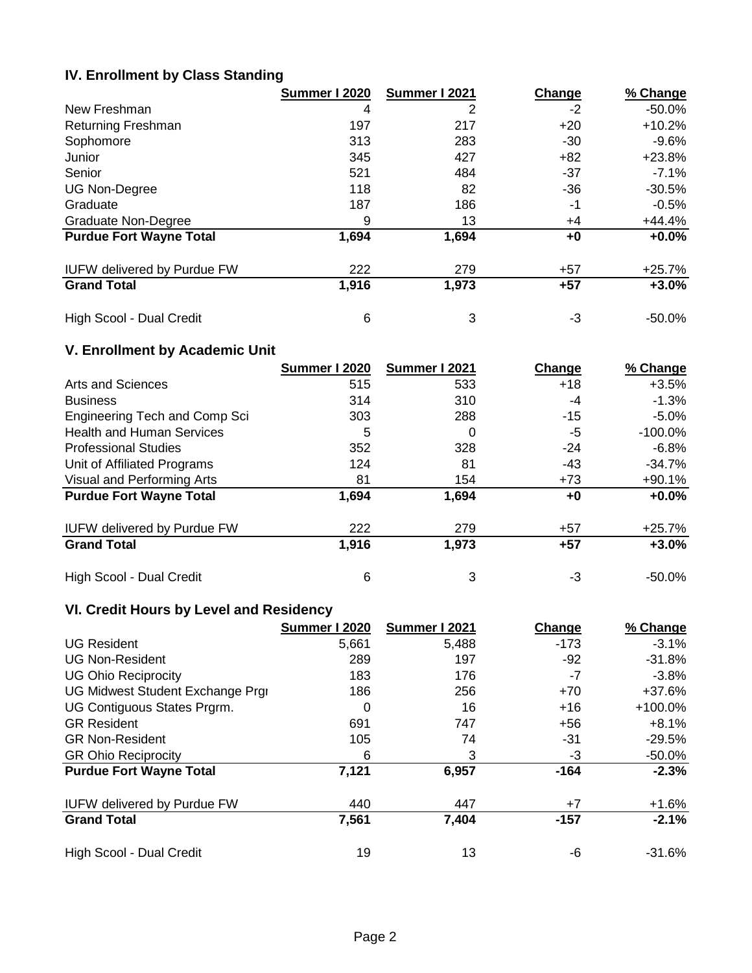### **IV. Enrollment by Class Standing**

|                                    | Summer I 2020 | Summer I 2021 | Change | % Change  |
|------------------------------------|---------------|---------------|--------|-----------|
| New Freshman                       | 4             | 2             | -2     | $-50.0%$  |
| Returning Freshman                 | 197           | 217           | $+20$  | $+10.2%$  |
| Sophomore                          | 313           | 283           | -30    | -9.6%     |
| Junior                             | 345           | 427           | $+82$  | $+23.8%$  |
| Senior                             | 521           | 484           | $-37$  | $-7.1\%$  |
| <b>UG Non-Degree</b>               | 118           | 82            | -36    | $-30.5%$  |
| Graduate                           | 187           | 186           | -1     | $-0.5%$   |
| Graduate Non-Degree                | 9             | 13            | $+4$   | +44.4%    |
| <b>Purdue Fort Wayne Total</b>     | 1,694         | 1,694         | +0     | $+0.0%$   |
| <b>IUFW delivered by Purdue FW</b> | 222           | 279           | $+57$  | $+25.7%$  |
| <b>Grand Total</b>                 | 1,916         | 1,973         | $+57$  | $+3.0%$   |
| High Scool - Dual Credit           | 6             | 3             | -3     | $-50.0\%$ |

### **V. Enrollment by Academic Unit**

|                                    | Summer I 2020 | Summer I 2021 | Change | % Change  |
|------------------------------------|---------------|---------------|--------|-----------|
| Arts and Sciences                  | 515           | 533           | $+18$  | $+3.5%$   |
| <b>Business</b>                    | 314           | 310           | -4     | $-1.3%$   |
| Engineering Tech and Comp Sci      | 303           | 288           | $-15$  | $-5.0%$   |
| <b>Health and Human Services</b>   | 5             | 0             | -5     | $-100.0%$ |
| <b>Professional Studies</b>        | 352           | 328           | $-24$  | $-6.8\%$  |
| Unit of Affiliated Programs        | 124           | 81            | -43    | $-34.7\%$ |
| Visual and Performing Arts         | 81            | 154           | $+73$  | $+90.1%$  |
| <b>Purdue Fort Wayne Total</b>     | 1,694         | 1,694         | +0     | $+0.0%$   |
| <b>IUFW delivered by Purdue FW</b> | 222           | 279           | $+57$  | $+25.7%$  |
| <b>Grand Total</b>                 | 1,916         | 1,973         | $+57$  | $+3.0%$   |
| High Scool - Dual Credit           | 6             | 3             | -3     | -50.0%    |

### **VI. Credit Hours by Level and Residency**

|                                    | Summer I 2020 | Summer I 2021 | Change | % Change |
|------------------------------------|---------------|---------------|--------|----------|
| <b>UG Resident</b>                 | 5,661         | 5,488         | $-173$ | $-3.1%$  |
| <b>UG Non-Resident</b>             | 289           | 197           | $-92$  | $-31.8%$ |
| <b>UG Ohio Reciprocity</b>         | 183           | 176           | -7     | $-3.8%$  |
| UG Midwest Student Exchange Prgi   | 186           | 256           | $+70$  | $+37.6%$ |
| UG Contiguous States Prgrm.        | 0             | 16            | $+16$  | +100.0%  |
| <b>GR Resident</b>                 | 691           | 747           | $+56$  | $+8.1%$  |
| <b>GR Non-Resident</b>             | 105           | 74            | -31    | $-29.5%$ |
| <b>GR Ohio Reciprocity</b>         | 6             | 3             | -3     | -50.0%   |
| <b>Purdue Fort Wayne Total</b>     | 7,121         | 6,957         | $-164$ | $-2.3%$  |
| <b>IUFW delivered by Purdue FW</b> | 440           | 447           | $+7$   | $+1.6%$  |
| <b>Grand Total</b>                 | 7,561         | 7,404         | $-157$ | $-2.1%$  |
| High Scool - Dual Credit           | 19            | 13            | -6     | -31.6%   |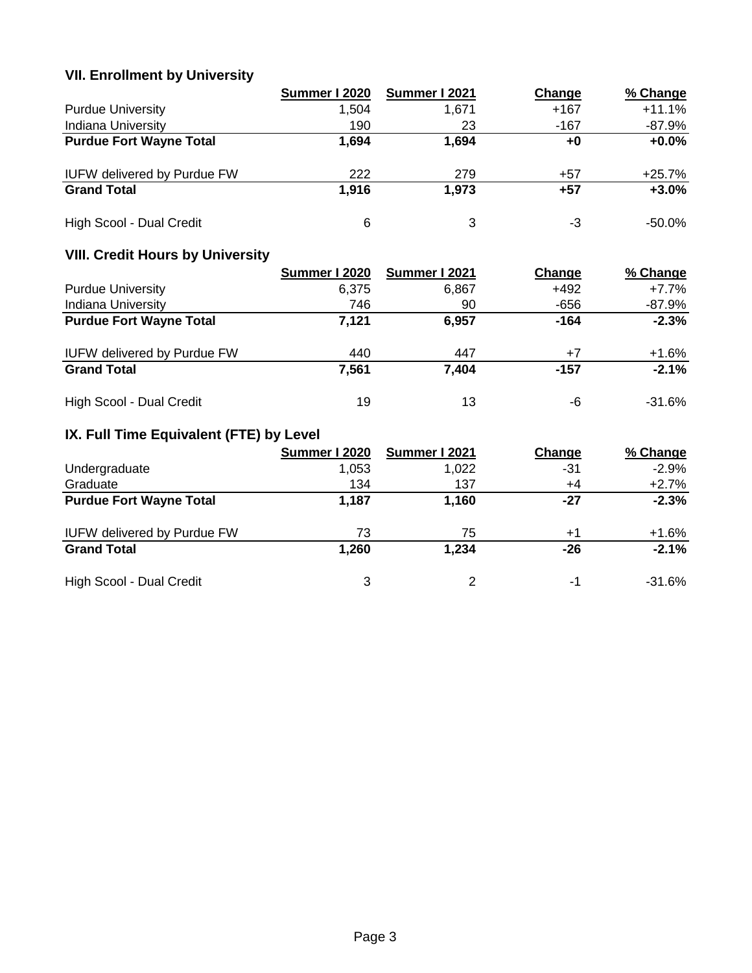# **VII. Enrollment by University**

|                                    | Summer I 2020 | Summer I 2021 | Change | % Change |
|------------------------------------|---------------|---------------|--------|----------|
| <b>Purdue University</b>           | 1.504         | 1.671         | $+167$ | $+11.1%$ |
| <b>Indiana University</b>          | 190           | 23            | -167   | -87.9%   |
| <b>Purdue Fort Wayne Total</b>     | 1,694         | 1,694         | +0     | $+0.0%$  |
| <b>IUFW delivered by Purdue FW</b> | 222           | 279           | $+57$  | $+25.7%$ |
| <b>Grand Total</b>                 | 1,916         | 1,973         | +57    | $+3.0%$  |
| High Scool - Dual Credit           | 6             | 3             | -3     | -50.0%   |

# **VIII. Credit Hours by University**

|                                    | Summer I 2020 | Summer I 2021 | Change | % Change  |
|------------------------------------|---------------|---------------|--------|-----------|
| <b>Purdue University</b>           | 6.375         | 6,867         | $+492$ | +7.7%     |
| <b>Indiana University</b>          | 746           | 90            | $-656$ | -87.9%    |
| <b>Purdue Fort Wayne Total</b>     | 7,121         | 6,957         | $-164$ | $-2.3%$   |
| <b>IUFW delivered by Purdue FW</b> | 440           | 447           | $+7$   | $+1.6%$   |
| <b>Grand Total</b>                 | 7,561         | 7,404         | -157   | $-2.1%$   |
| High Scool - Dual Credit           | 19            | 13            | -6     | $-31.6\%$ |

# **IX. Full Time Equivalent (FTE) by Level**

|                                    | Summer I 2020 | Summer I 2021 | Change | % Change |
|------------------------------------|---------------|---------------|--------|----------|
| Undergraduate                      | 1.053         | 1,022         | -31    | $-2.9%$  |
| Graduate                           | 134           | 137           | +4     | $+2.7%$  |
| <b>Purdue Fort Wayne Total</b>     | 1,187         | 1,160         | -27    | $-2.3%$  |
| <b>IUFW delivered by Purdue FW</b> | 73            | 75            | $+1$   | $+1.6%$  |
| <b>Grand Total</b>                 | 1,260         | 1,234         | $-26$  | $-2.1%$  |
| High Scool - Dual Credit           | 3             | $\mathcal{P}$ | -1     | $-31.6%$ |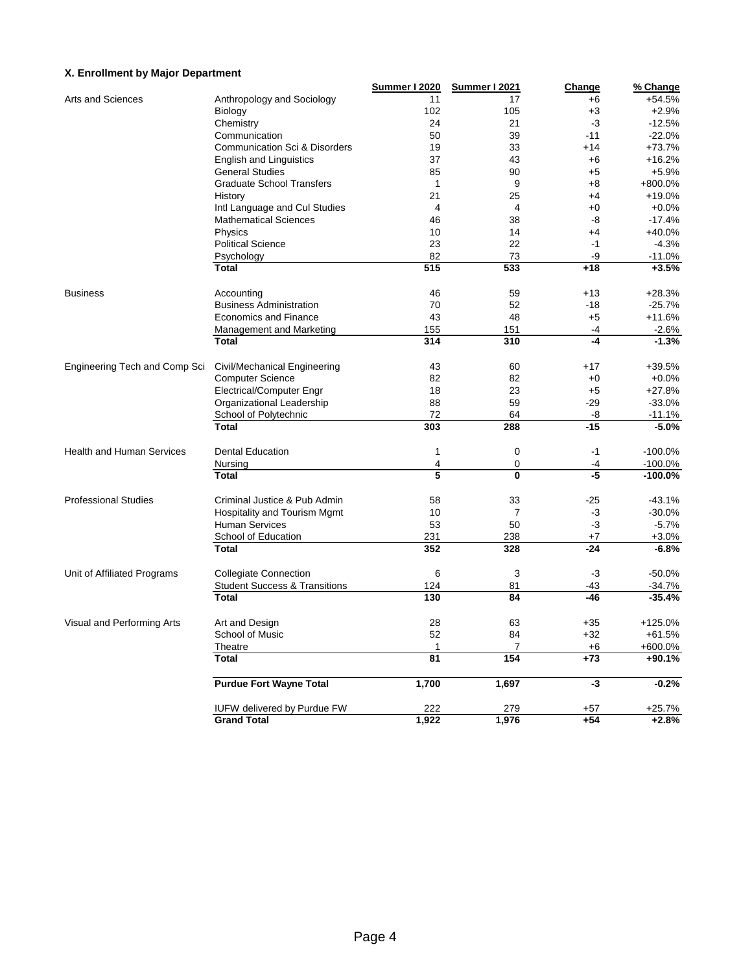#### **X. Enrollment by Major Department**

|                                  |                                          | Summer I 2020  | Summer I 2021  | Change | % Change   |
|----------------------------------|------------------------------------------|----------------|----------------|--------|------------|
| Arts and Sciences                | Anthropology and Sociology               | 11             | 17             | $+6$   | $+54.5%$   |
|                                  | Biology                                  | 102            | 105            | $+3$   | $+2.9%$    |
|                                  | Chemistry                                | 24             | 21             | $-3$   | $-12.5%$   |
|                                  | Communication                            | 50             | 39             | $-11$  | $-22.0%$   |
|                                  | Communication Sci & Disorders            | 19             | 33             | $+14$  | $+73.7%$   |
|                                  | <b>English and Linguistics</b>           | 37             | 43             | $+6$   | $+16.2%$   |
|                                  | <b>General Studies</b>                   | 85             | 90             | $+5$   | $+5.9%$    |
|                                  | <b>Graduate School Transfers</b>         | $\mathbf{1}$   | 9              | $+8$   | +800.0%    |
|                                  | History                                  | 21             | 25             | $+4$   | $+19.0%$   |
|                                  | Intl Language and Cul Studies            | $\overline{4}$ | 4              | $+0$   | $+0.0%$    |
|                                  | <b>Mathematical Sciences</b>             | 46             | 38             | -8     | $-17.4%$   |
|                                  | Physics                                  | 10             | 14             | $+4$   | $+40.0%$   |
|                                  | <b>Political Science</b>                 | 23             | 22             | $-1$   | $-4.3%$    |
|                                  | Psychology                               | 82             | 73             | -9     | $-11.0%$   |
|                                  | <b>Total</b>                             | 515            | 533            | $+18$  | $+3.5%$    |
|                                  |                                          |                |                |        |            |
| <b>Business</b>                  | Accounting                               | 46             | 59             | $+13$  | $+28.3%$   |
|                                  | <b>Business Administration</b>           | 70             | 52             | $-18$  | $-25.7%$   |
|                                  | <b>Economics and Finance</b>             | 43             | 48             | $+5$   | $+11.6%$   |
|                                  | <b>Management and Marketing</b>          | 155            | 151            | $-4$   | $-2.6%$    |
|                                  | <b>Total</b>                             | 314            | 310            | $-4$   | $-1.3%$    |
| Engineering Tech and Comp Sci    | Civil/Mechanical Engineering             | 43             | 60             | $+17$  | +39.5%     |
|                                  | <b>Computer Science</b>                  | 82             | 82             | $+0$   | $+0.0%$    |
|                                  |                                          | 18             | 23             | $+5$   | $+27.8%$   |
|                                  | Electrical/Computer Engr                 | 88             | 59             | $-29$  |            |
|                                  | Organizational Leadership                |                |                |        | $-33.0%$   |
|                                  | School of Polytechnic                    | 72             | 64             | -8     | $-11.1%$   |
|                                  | <b>Total</b>                             | 303            | 288            | $-15$  | $-5.0%$    |
| <b>Health and Human Services</b> | <b>Dental Education</b>                  | $\mathbf{1}$   | 0              | $-1$   | $-100.0%$  |
|                                  | Nursing                                  | 4              | 0              | -4     | $-100.0\%$ |
|                                  | <b>Total</b>                             | 5              | $\mathbf{0}$   | -5     | $-100.0%$  |
| <b>Professional Studies</b>      | Criminal Justice & Pub Admin             | 58             | 33             | $-25$  | $-43.1%$   |
|                                  | <b>Hospitality and Tourism Mgmt</b>      | 10             | $\overline{7}$ | -3     | $-30.0%$   |
|                                  | <b>Human Services</b>                    | 53             | 50             | -3     | $-5.7%$    |
|                                  | School of Education                      | 231            | 238            | $+7$   | $+3.0%$    |
|                                  | <b>Total</b>                             | 352            | 328            | $-24$  | $-6.8%$    |
|                                  |                                          |                |                |        |            |
| Unit of Affiliated Programs      | <b>Collegiate Connection</b>             | 6              | 3              | $-3$   | $-50.0%$   |
|                                  | <b>Student Success &amp; Transitions</b> | 124            | 81             | $-43$  | $-34.7%$   |
|                                  | <b>Total</b>                             | 130            | 84             | $-46$  | $-35.4%$   |
| Visual and Performing Arts       | Art and Design                           | 28             | 63             | $+35$  | $+125.0%$  |
|                                  | School of Music                          | 52             | 84             | $+32$  | $+61.5%$   |
|                                  | Theatre                                  | $\mathbf{1}$   | 7              | $+6$   | +600.0%    |
|                                  | <b>Total</b>                             | 81             | 154            | $+73$  | +90.1%     |
|                                  |                                          |                |                |        |            |
|                                  | <b>Purdue Fort Wayne Total</b>           | 1,700          | 1,697          | -3     | $-0.2%$    |
|                                  | <b>IUFW delivered by Purdue FW</b>       | 222            | 279            | $+57$  | +25.7%     |
|                                  | <b>Grand Total</b>                       | 1,922          | 1,976          | $+54$  | $+2.8%$    |